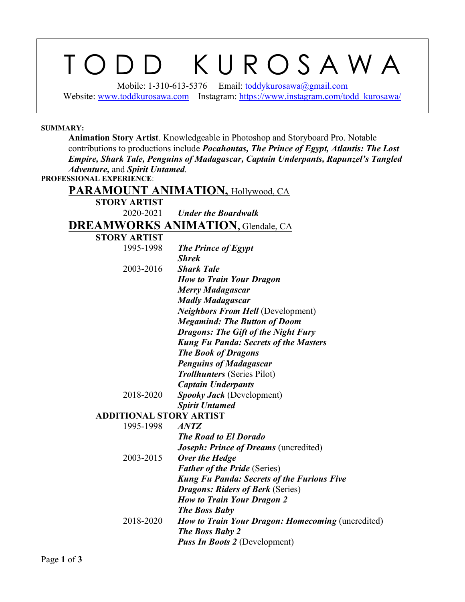## T O D D K U R O S A W A

Mobile: 1-310-613-5376 Email: [toddykurosawa@gmail.com](mailto:toddykurosawa@gmail.com)  Website: [www.toddkurosawa.com](http://www.toddkurosawa.com/) Instagram: https://www.instagram.com/todd kurosawa/

## **SUMMARY:**

**Animation Story Artist**. Knowledgeable in Photoshop and Storyboard Pro. Notable contributions to productions include *Pocahontas, The Prince of Egypt, Atlantis: The Lost Empire, Shark Tale, Penguins of Madagascar, Captain Underpants, Rapunzel's Tangled Adventure,* and *Spirit Untamed.*

**PROFESSIONAL EXPERIENCE**:

|                                | <b>PARAMOUNT ANIMATION, Hollywood, CA</b>                |
|--------------------------------|----------------------------------------------------------|
| <b>STORY ARTIST</b>            |                                                          |
| 2020-2021                      | <b>Under the Boardwalk</b>                               |
|                                | <b>DREAMWORKS ANIMATION, Glendale, CA</b>                |
| <b>STORY ARTIST</b>            |                                                          |
| 1995-1998                      | <b>The Prince of Egypt</b>                               |
|                                | <b>Shrek</b>                                             |
| 2003-2016                      | <b>Shark Tale</b>                                        |
|                                | <b>How to Train Your Dragon</b>                          |
|                                | <b>Merry Madagascar</b>                                  |
|                                | <b>Madly Madagascar</b>                                  |
|                                | <b>Neighbors From Hell (Development)</b>                 |
|                                | <b>Megamind: The Button of Doom</b>                      |
|                                | <b>Dragons: The Gift of the Night Fury</b>               |
|                                | <b>Kung Fu Panda: Secrets of the Masters</b>             |
|                                | <b>The Book of Dragons</b>                               |
|                                | <b>Penguins of Madagascar</b>                            |
|                                | <b>Trollhunters</b> (Series Pilot)                       |
|                                | <b>Captain Underpants</b>                                |
| 2018-2020                      | Spooky Jack (Development)                                |
|                                | <b>Spirit Untamed</b>                                    |
| <b>ADDITIONAL STORY ARTIST</b> |                                                          |
| 1995-1998                      | <b>ANTZ</b>                                              |
|                                | <b>The Road to El Dorado</b>                             |
|                                | <b>Joseph: Prince of Dreams (uncredited)</b>             |
| 2003-2015                      | Over the Hedge                                           |
|                                | <b>Father of the Pride (Series)</b>                      |
|                                | <b>Kung Fu Panda: Secrets of the Furious Five</b>        |
|                                | <b>Dragons: Riders of Berk (Series)</b>                  |
|                                | <b>How to Train Your Dragon 2</b>                        |
|                                | <b>The Boss Baby</b>                                     |
| 2018-2020                      | <b>How to Train Your Dragon: Homecoming (uncredited)</b> |

*The Boss Baby 2*

*Puss In Boots 2* (Development)

Page **1** of **3**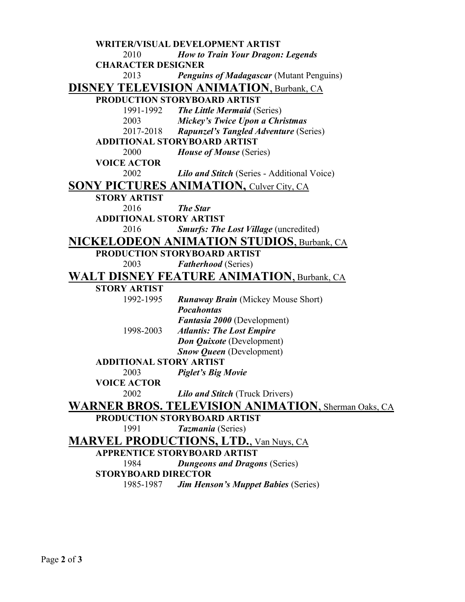**WRITER/VISUAL DEVELOPMENT ARTIST** 2010 *How to Train Your Dragon: Legends*  **CHARACTER DESIGNER** 2013 *Penguins of Madagascar* (Mutant Penguins) **DISNEY TELEVISION ANIMATION**, Burbank, CA **PRODUCTION STORYBOARD ARTIST** 1991-1992 *The Little Mermaid* (Series) 2003 *Mickey's Twice Upon a Christmas* 2017-2018 *Rapunzel's Tangled Adventure* (Series) **ADDITIONAL STORYBOARD ARTIST** 2000 *House of Mouse* (Series) **VOICE ACTOR** 2002 *Lilo and Stitch* (Series - Additional Voice) **SONY PICTURES ANIMATION, Culver City, CA STORY ARTIST** 2016 *The Star* **ADDITIONAL STORY ARTIST** 2016 *Smurfs: The Lost Village* (uncredited) **NICKELODEON ANIMATION STUDIOS**, Burbank, CA **PRODUCTION STORYBOARD ARTIST** 2003 *Fatherhood* (Series) **WALT DISNEY FEATURE ANIMATION**, Burbank, CA **STORY ARTIST** 1992-1995 *Runaway Brain* (Mickey Mouse Short) *Pocahontas Fantasia 2000* (Development) 1998-2003 *Atlantis: The Lost Empire Don Quixote* (Development) *Snow Queen* (Development) **ADDITIONAL STORY ARTIST** 2003 *Piglet's Big Movie* **VOICE ACTOR** 2002 *Lilo and Stitch* (Truck Drivers) **WARNER BROS. TELEVISION ANIMATION**, Sherman Oaks, CA **PRODUCTION STORYBOARD ARTIST** 1991 *Tazmania* (Series) **MARVEL PRODUCTIONS, LTD.**, Van Nuys, CA **APPRENTICE STORYBOARD ARTIST** 1984 *Dungeons and Dragons* (Series) **STORYBOARD DIRECTOR** 1985-1987 *Jim Henson's Muppet Babies* (Series)